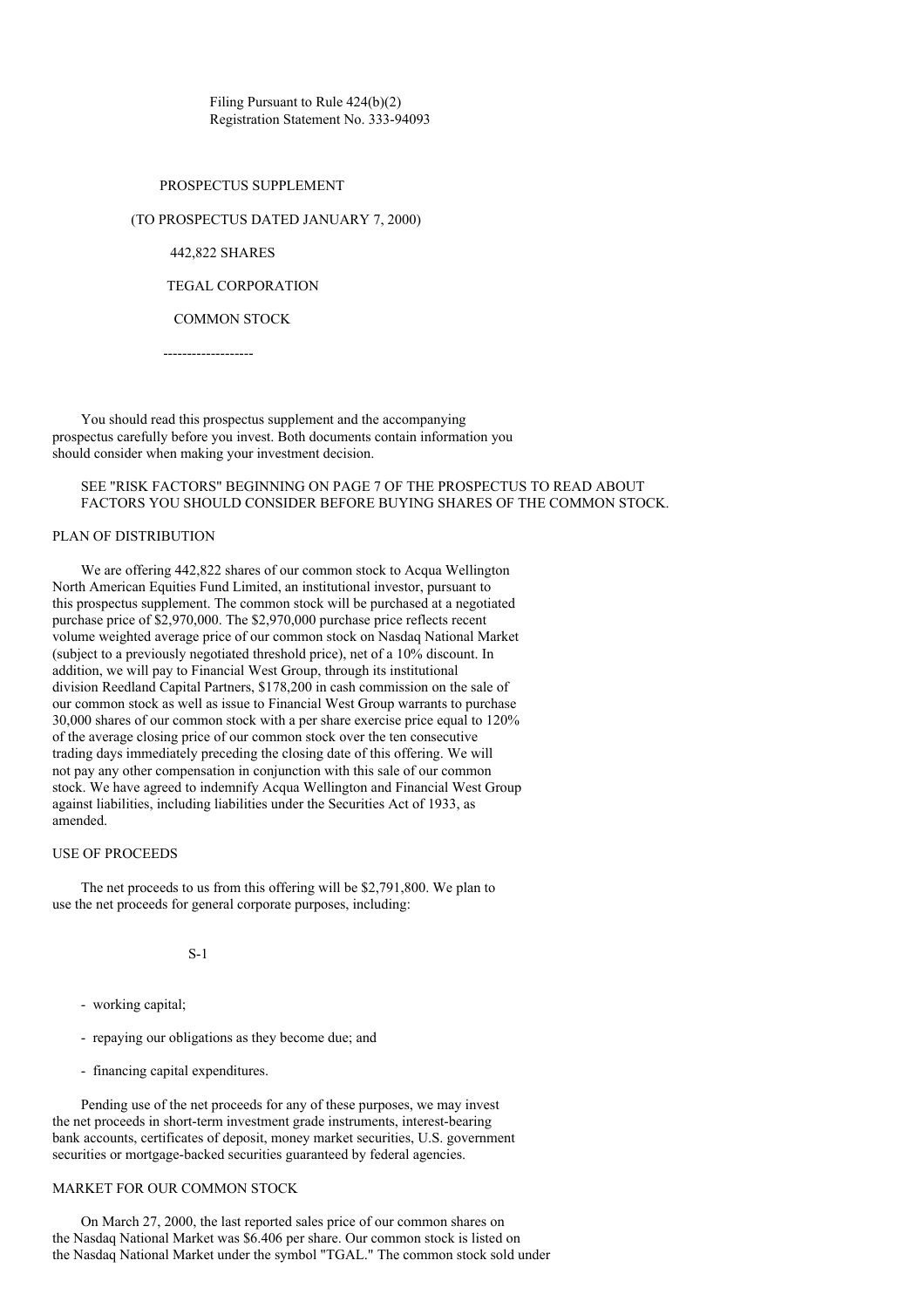Filing Pursuant to Rule 424(b)(2) Registration Statement No. 333-94093

## PROSPECTUS SUPPLEMENT

#### (TO PROSPECTUS DATED JANUARY 7, 2000)

442,822 SHARES

## TEGAL CORPORATION

#### COMMON STOCK

-------------------

You should read this prospectus supplement and the accompanying prospectus carefully before you invest. Both documents contain information you should consider when making your investment decision.

# SEE "RISK FACTORS" BEGINNING ON PAGE 7 OF THE PROSPECTUS TO READ ABOUT FACTORS YOU SHOULD CONSIDER BEFORE BUYING SHARES OF THE COMMON STOCK.

## PLAN OF DISTRIBUTION

We are offering 442,822 shares of our common stock to Acqua Wellington North American Equities Fund Limited, an institutional investor, pursuant to this prospectus supplement. The common stock will be purchased at a negotiated purchase price of \$2,970,000. The \$2,970,000 purchase price reflects recent volume weighted average price of our common stock on Nasdaq National Market (subject to a previously negotiated threshold price), net of a 10% discount. In addition, we will pay to Financial West Group, through its institutional division Reedland Capital Partners, \$178,200 in cash commission on the sale of our common stock as well as issue to Financial West Group warrants to purchase 30,000 shares of our common stock with a per share exercise price equal to 120% of the average closing price of our common stock over the ten consecutive trading days immediately preceding the closing date of this offering. We will not pay any other compensation in conjunction with this sale of our common stock. We have agreed to indemnify Acqua Wellington and Financial West Group against liabilities, including liabilities under the Securities Act of 1933, as amended.

#### USE OF PROCEEDS

The net proceeds to us from this offering will be \$2,791,800. We plan to use the net proceeds for general corporate purposes, including:

S-1

- working capital;
- repaying our obligations as they become due; and
- financing capital expenditures.

Pending use of the net proceeds for any of these purposes, we may invest the net proceeds in short-term investment grade instruments, interest-bearing bank accounts, certificates of deposit, money market securities, U.S. government securities or mortgage-backed securities guaranteed by federal agencies.

# MARKET FOR OUR COMMON STOCK

On March 27, 2000, the last reported sales price of our common shares on the Nasdaq National Market was \$6.406 per share. Our common stock is listed on the Nasdaq National Market under the symbol "TGAL." The common stock sold under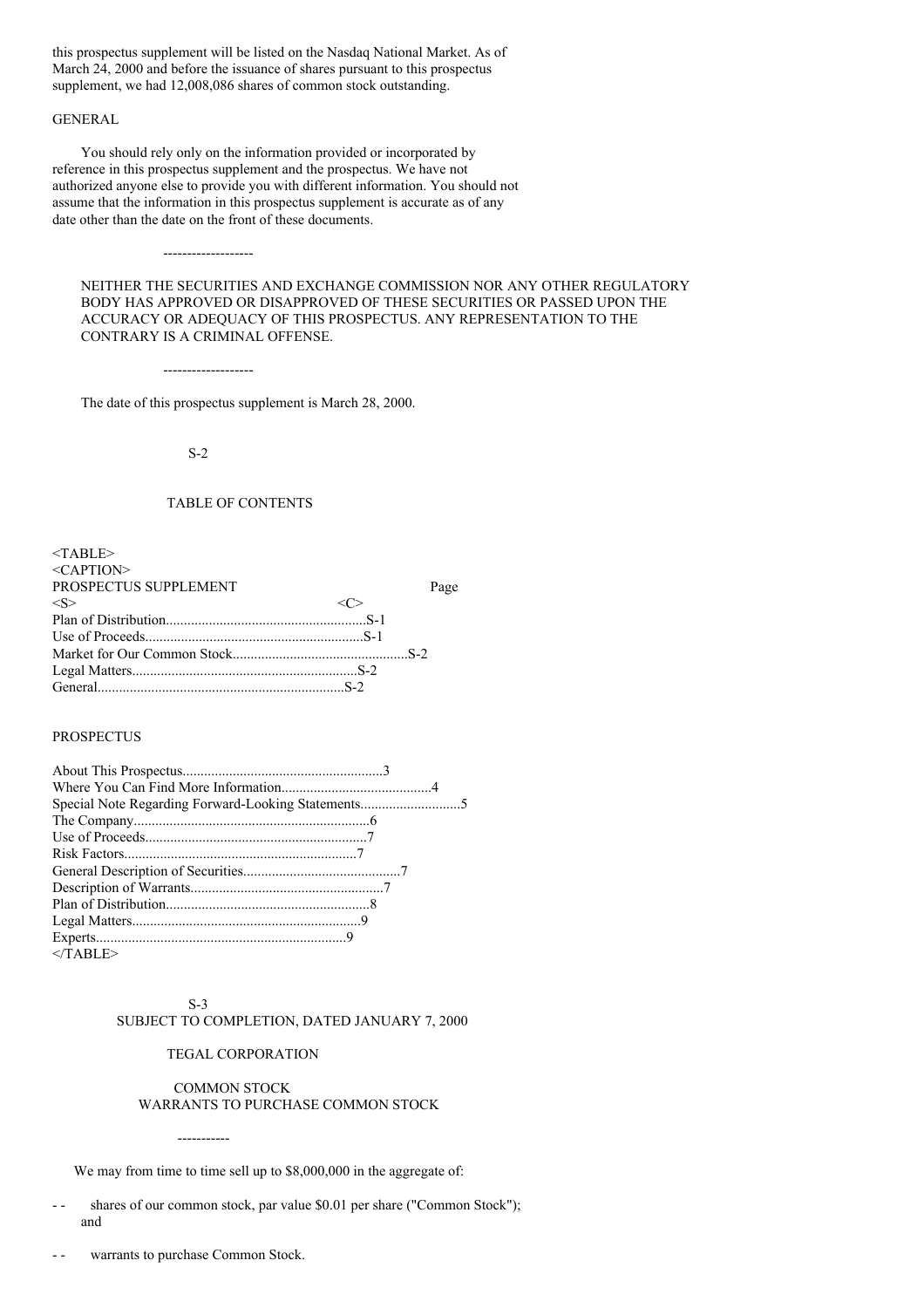this prospectus supplement will be listed on the Nasdaq National Market. As of March 24, 2000 and before the issuance of shares pursuant to this prospectus supplement, we had 12,008,086 shares of common stock outstanding.

# GENERAL

You should rely only on the information provided or incorporated by reference in this prospectus supplement and the prospectus. We have not authorized anyone else to provide you with different information. You should not assume that the information in this prospectus supplement is accurate as of any date other than the date on the front of these documents.

NEITHER THE SECURITIES AND EXCHANGE COMMISSION NOR ANY OTHER REGULATORY BODY HAS APPROVED OR DISAPPROVED OF THESE SECURITIES OR PASSED UPON THE ACCURACY OR ADEQUACY OF THIS PROSPECTUS. ANY REPRESENTATION TO THE CONTRARY IS A CRIMINAL OFFENSE.

-------------------

-------------------

The date of this prospectus supplement is March 28, 2000.

#### S-2

# TABLE OF CONTENTS

| $<$ TABLE>            |      |
|-----------------------|------|
| $<$ CAPTION $>$       |      |
| PROSPECTUS SUPPLEMENT | Page |
| $<\!S>$               |      |
|                       |      |
|                       |      |
|                       |      |
|                       |      |
|                       |      |

#### PROSPECTUS

| $<$ TABLE> |
|------------|

# S-3

-----------

# SUBJECT TO COMPLETION, DATED JANUARY 7, 2000

#### TEGAL CORPORATION

## COMMON STOCK WARRANTS TO PURCHASE COMMON STOCK

We may from time to time sell up to \$8,000,000 in the aggregate of:

- shares of our common stock, par value \$0.01 per share ("Common Stock"); and
- warrants to purchase Common Stock.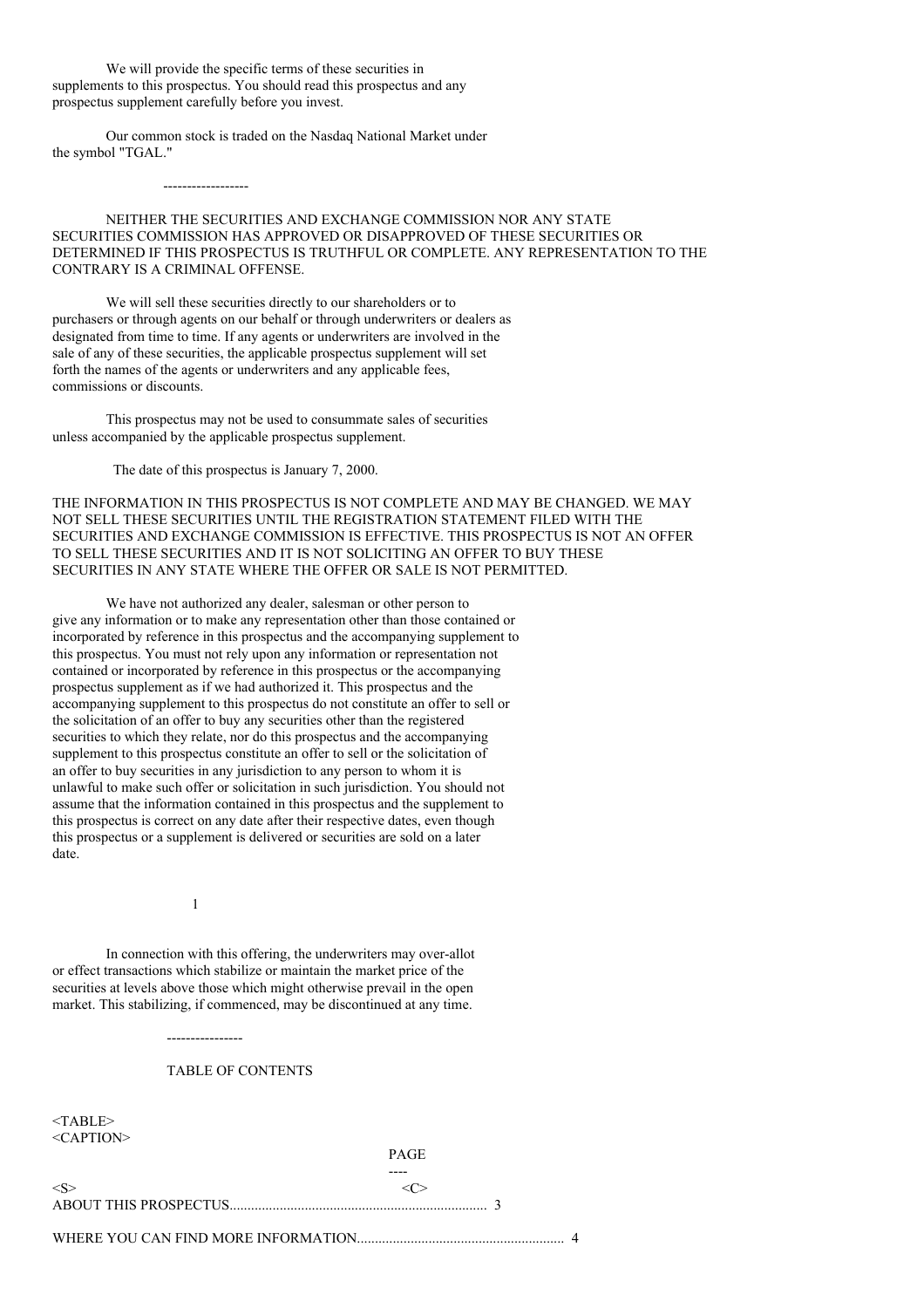We will provide the specific terms of these securities in supplements to this prospectus. You should read this prospectus and any prospectus supplement carefully before you invest.

Our common stock is traded on the Nasdaq National Market under the symbol "TGAL."

------------------

NEITHER THE SECURITIES AND EXCHANGE COMMISSION NOR ANY STATE SECURITIES COMMISSION HAS APPROVED OR DISAPPROVED OF THESE SECURITIES OR DETERMINED IF THIS PROSPECTUS IS TRUTHFUL OR COMPLETE. ANY REPRESENTATION TO THE CONTRARY IS A CRIMINAL OFFENSE.

We will sell these securities directly to our shareholders or to purchasers or through agents on our behalf or through underwriters or dealers as designated from time to time. If any agents or underwriters are involved in the sale of any of these securities, the applicable prospectus supplement will set forth the names of the agents or underwriters and any applicable fees, commissions or discounts.

This prospectus may not be used to consummate sales of securities unless accompanied by the applicable prospectus supplement.

The date of this prospectus is January 7, 2000.

THE INFORMATION IN THIS PROSPECTUS IS NOT COMPLETE AND MAY BE CHANGED. WE MAY NOT SELL THESE SECURITIES UNTIL THE REGISTRATION STATEMENT FILED WITH THE SECURITIES AND EXCHANGE COMMISSION IS EFFECTIVE. THIS PROSPECTUS IS NOT AN OFFER TO SELL THESE SECURITIES AND IT IS NOT SOLICITING AN OFFER TO BUY THESE SECURITIES IN ANY STATE WHERE THE OFFER OR SALE IS NOT PERMITTED.

We have not authorized any dealer, salesman or other person to give any information or to make any representation other than those contained or incorporated by reference in this prospectus and the accompanying supplement to this prospectus. You must not rely upon any information or representation not contained or incorporated by reference in this prospectus or the accompanying prospectus supplement as if we had authorized it. This prospectus and the accompanying supplement to this prospectus do not constitute an offer to sell or the solicitation of an offer to buy any securities other than the registered securities to which they relate, nor do this prospectus and the accompanying supplement to this prospectus constitute an offer to sell or the solicitation of an offer to buy securities in any jurisdiction to any person to whom it is unlawful to make such offer or solicitation in such jurisdiction. You should not assume that the information contained in this prospectus and the supplement to this prospectus is correct on any date after their respective dates, even though this prospectus or a supplement is delivered or securities are sold on a later date.

1

----------------

In connection with this offering, the underwriters may over-allot or effect transactions which stabilize or maintain the market price of the securities at levels above those which might otherwise prevail in the open market. This stabilizing, if commenced, may be discontinued at any time.

## TABLE OF CONTENTS

<TABLE> <CAPTION>

PAGE

----

 $\langle S \rangle$   $\langle C \rangle$ ABOUT THIS PROSPECTUS........................................................................ 3

WHERE YOU CAN FIND MORE INFORMATION.......................................................... 4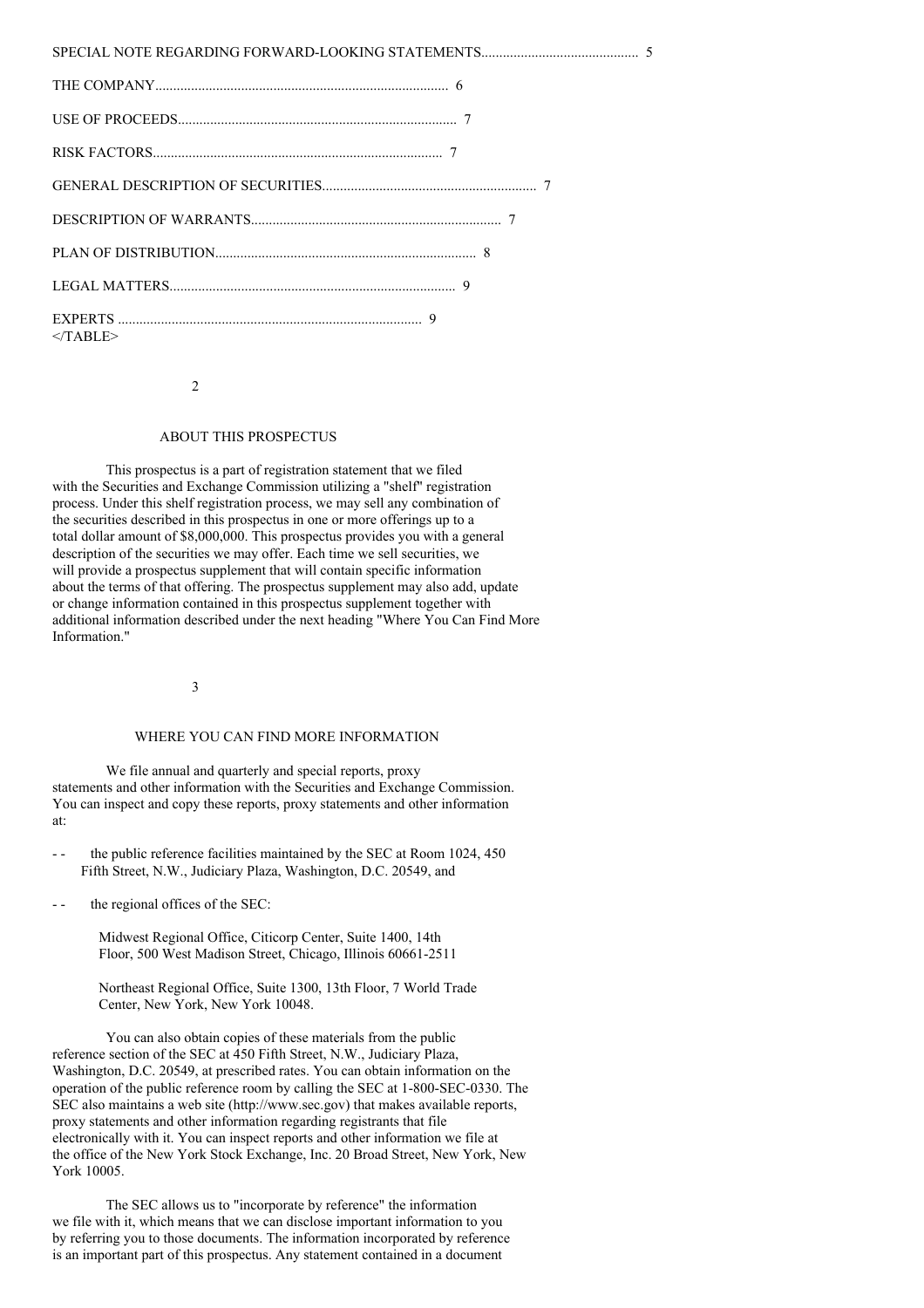| $<$ TABLE> |
|------------|

 $\overline{2}$ 

# ABOUT THIS PROSPECTUS

This prospectus is a part of registration statement that we filed with the Securities and Exchange Commission utilizing a "shelf" registration process. Under this shelf registration process, we may sell any combination of the securities described in this prospectus in one or more offerings up to a total dollar amount of \$8,000,000. This prospectus provides you with a general description of the securities we may offer. Each time we sell securities, we will provide a prospectus supplement that will contain specific information about the terms of that offering. The prospectus supplement may also add, update or change information contained in this prospectus supplement together with additional information described under the next heading "Where You Can Find More Information."

3

#### WHERE YOU CAN FIND MORE INFORMATION

We file annual and quarterly and special reports, proxy statements and other information with the Securities and Exchange Commission. You can inspect and copy these reports, proxy statements and other information at:

the public reference facilities maintained by the SEC at Room 1024, 450 Fifth Street, N.W., Judiciary Plaza, Washington, D.C. 20549, and

- - the regional offices of the SEC:

Midwest Regional Office, Citicorp Center, Suite 1400, 14th Floor, 500 West Madison Street, Chicago, Illinois 60661-2511

Northeast Regional Office, Suite 1300, 13th Floor, 7 World Trade Center, New York, New York 10048.

You can also obtain copies of these materials from the public reference section of the SEC at 450 Fifth Street, N.W., Judiciary Plaza, Washington, D.C. 20549, at prescribed rates. You can obtain information on the operation of the public reference room by calling the SEC at 1-800-SEC-0330. The SEC also maintains a web site (http://www.sec.gov) that makes available reports, proxy statements and other information regarding registrants that file electronically with it. You can inspect reports and other information we file at the office of the New York Stock Exchange, Inc. 20 Broad Street, New York, New York 10005.

The SEC allows us to "incorporate by reference" the information we file with it, which means that we can disclose important information to you by referring you to those documents. The information incorporated by reference is an important part of this prospectus. Any statement contained in a document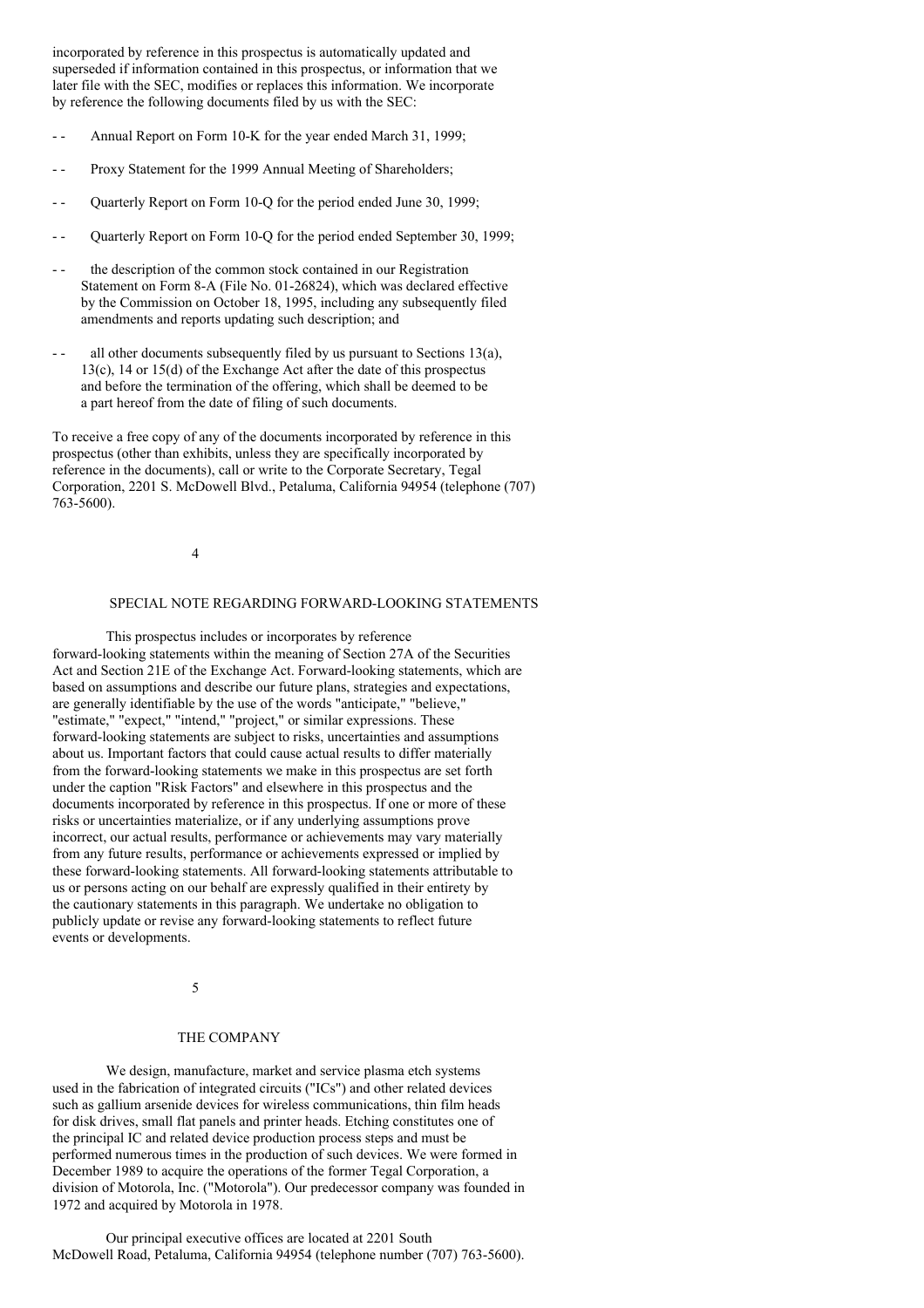incorporated by reference in this prospectus is automatically updated and superseded if information contained in this prospectus, or information that we later file with the SEC, modifies or replaces this information. We incorporate by reference the following documents filed by us with the SEC:

- Annual Report on Form 10-K for the year ended March 31, 1999;
- Proxy Statement for the 1999 Annual Meeting of Shareholders;
- Quarterly Report on Form 10-Q for the period ended June 30, 1999;
- Ouarterly Report on Form 10-O for the period ended September 30, 1999;
- the description of the common stock contained in our Registration Statement on Form 8-A (File No. 01-26824), which was declared effective by the Commission on October 18, 1995, including any subsequently filed amendments and reports updating such description; and
- all other documents subsequently filed by us pursuant to Sections  $13(a)$ , 13(c), 14 or 15(d) of the Exchange Act after the date of this prospectus and before the termination of the offering, which shall be deemed to be a part hereof from the date of filing of such documents.

To receive a free copy of any of the documents incorporated by reference in this prospectus (other than exhibits, unless they are specifically incorporated by reference in the documents), call or write to the Corporate Secretary, Tegal Corporation, 2201 S. McDowell Blvd., Petaluma, California 94954 (telephone (707) 763-5600).

4

# SPECIAL NOTE REGARDING FORWARD-LOOKING STATEMENTS

This prospectus includes or incorporates by reference forward-looking statements within the meaning of Section 27A of the Securities Act and Section 21E of the Exchange Act. Forward-looking statements, which are based on assumptions and describe our future plans, strategies and expectations, are generally identifiable by the use of the words "anticipate," "believe," "estimate," "expect," "intend," "project," or similar expressions. These forward-looking statements are subject to risks, uncertainties and assumptions about us. Important factors that could cause actual results to differ materially from the forward-looking statements we make in this prospectus are set forth under the caption "Risk Factors" and elsewhere in this prospectus and the documents incorporated by reference in this prospectus. If one or more of these risks or uncertainties materialize, or if any underlying assumptions prove incorrect, our actual results, performance or achievements may vary materially from any future results, performance or achievements expressed or implied by these forward-looking statements. All forward-looking statements attributable to us or persons acting on our behalf are expressly qualified in their entirety by the cautionary statements in this paragraph. We undertake no obligation to publicly update or revise any forward-looking statements to reflect future events or developments.

5

### THE COMPANY

We design, manufacture, market and service plasma etch systems used in the fabrication of integrated circuits ("ICs") and other related devices such as gallium arsenide devices for wireless communications, thin film heads for disk drives, small flat panels and printer heads. Etching constitutes one of the principal IC and related device production process steps and must be performed numerous times in the production of such devices. We were formed in December 1989 to acquire the operations of the former Tegal Corporation, a division of Motorola, Inc. ("Motorola"). Our predecessor company was founded in 1972 and acquired by Motorola in 1978.

Our principal executive offices are located at 2201 South McDowell Road, Petaluma, California 94954 (telephone number (707) 763-5600).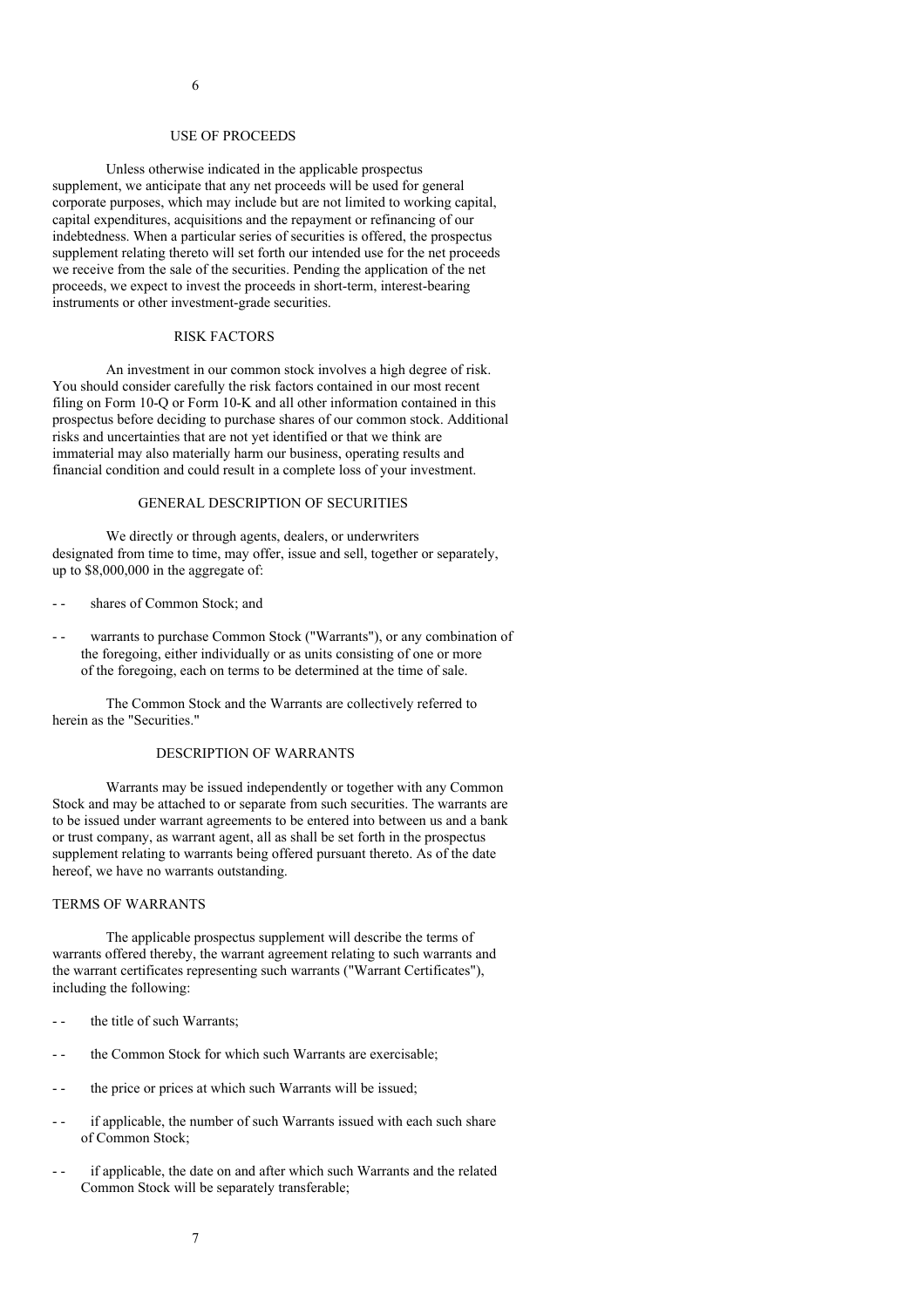# USE OF PROCEEDS

Unless otherwise indicated in the applicable prospectus supplement, we anticipate that any net proceeds will be used for general corporate purposes, which may include but are not limited to working capital, capital expenditures, acquisitions and the repayment or refinancing of our indebtedness. When a particular series of securities is offered, the prospectus supplement relating thereto will set forth our intended use for the net proceeds we receive from the sale of the securities. Pending the application of the net proceeds, we expect to invest the proceeds in short-term, interest-bearing instruments or other investment-grade securities.

## RISK FACTORS

An investment in our common stock involves a high degree of risk. You should consider carefully the risk factors contained in our most recent filing on Form 10-Q or Form 10-K and all other information contained in this prospectus before deciding to purchase shares of our common stock. Additional risks and uncertainties that are not yet identified or that we think are immaterial may also materially harm our business, operating results and financial condition and could result in a complete loss of your investment.

# GENERAL DESCRIPTION OF SECURITIES

We directly or through agents, dealers, or underwriters designated from time to time, may offer, issue and sell, together or separately, up to \$8,000,000 in the aggregate of:

- - shares of Common Stock; and
- warrants to purchase Common Stock ("Warrants"), or any combination of the foregoing, either individually or as units consisting of one or more of the foregoing, each on terms to be determined at the time of sale.

The Common Stock and the Warrants are collectively referred to herein as the "Securities."

#### DESCRIPTION OF WARRANTS

Warrants may be issued independently or together with any Common Stock and may be attached to or separate from such securities. The warrants are to be issued under warrant agreements to be entered into between us and a bank or trust company, as warrant agent, all as shall be set forth in the prospectus supplement relating to warrants being offered pursuant thereto. As of the date hereof, we have no warrants outstanding.

# TERMS OF WARRANTS

The applicable prospectus supplement will describe the terms of warrants offered thereby, the warrant agreement relating to such warrants and the warrant certificates representing such warrants ("Warrant Certificates"), including the following:

- -- the title of such Warrants:
- the Common Stock for which such Warrants are exercisable:
- -- the price or prices at which such Warrants will be issued;
- if applicable, the number of such Warrants issued with each such share of Common Stock;
- - if applicable, the date on and after which such Warrants and the related Common Stock will be separately transferable;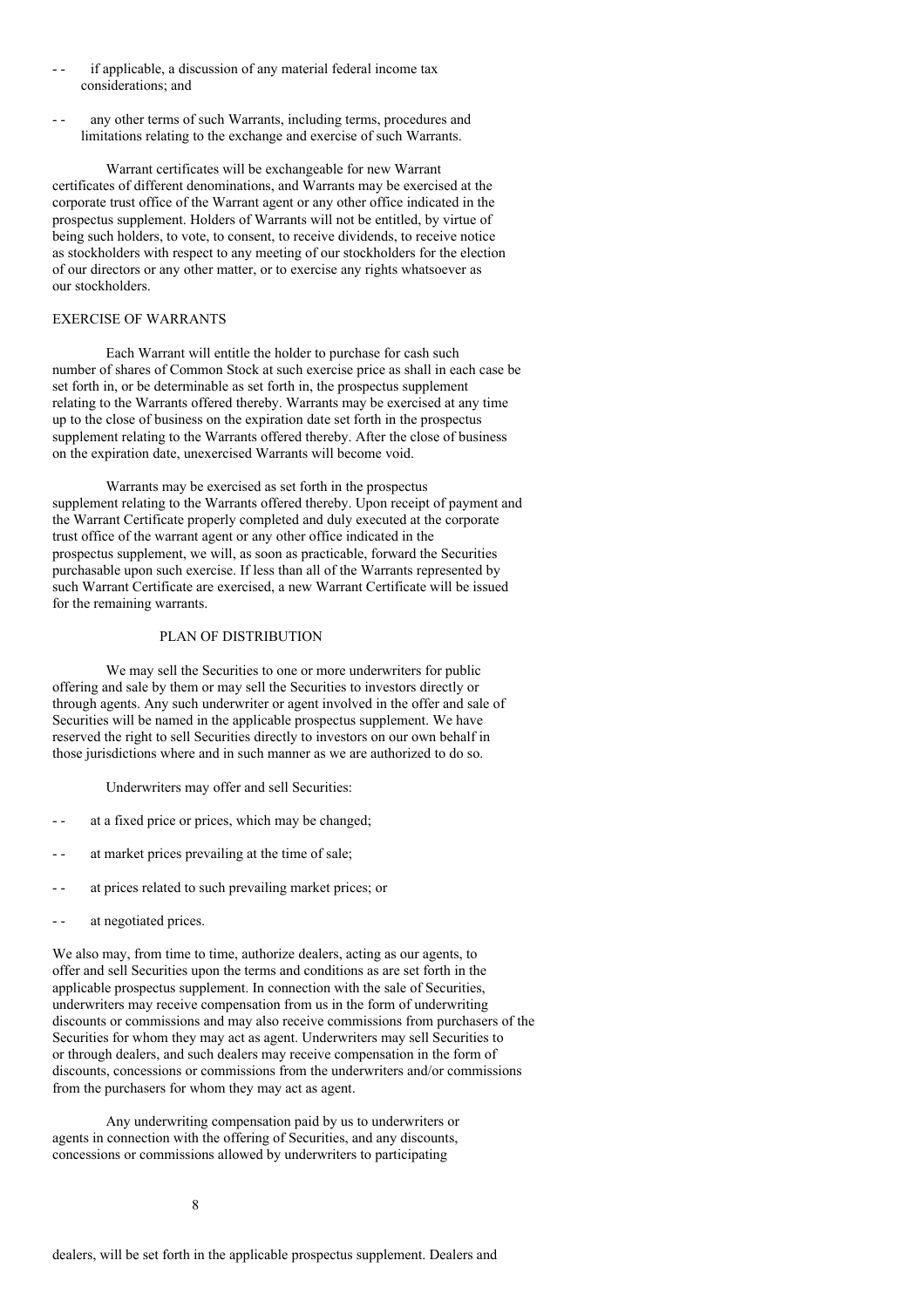- if applicable, a discussion of any material federal income tax considerations; and
- any other terms of such Warrants, including terms, procedures and limitations relating to the exchange and exercise of such Warrants.

Warrant certificates will be exchangeable for new Warrant certificates of different denominations, and Warrants may be exercised at the corporate trust office of the Warrant agent or any other office indicated in the prospectus supplement. Holders of Warrants will not be entitled, by virtue of being such holders, to vote, to consent, to receive dividends, to receive notice as stockholders with respect to any meeting of our stockholders for the election of our directors or any other matter, or to exercise any rights whatsoever as our stockholders.

# EXERCISE OF WARRANTS

Each Warrant will entitle the holder to purchase for cash such number of shares of Common Stock at such exercise price as shall in each case be set forth in, or be determinable as set forth in, the prospectus supplement relating to the Warrants offered thereby. Warrants may be exercised at any time up to the close of business on the expiration date set forth in the prospectus supplement relating to the Warrants offered thereby. After the close of business on the expiration date, unexercised Warrants will become void.

Warrants may be exercised as set forth in the prospectus supplement relating to the Warrants offered thereby. Upon receipt of payment and the Warrant Certificate properly completed and duly executed at the corporate trust office of the warrant agent or any other office indicated in the prospectus supplement, we will, as soon as practicable, forward the Securities purchasable upon such exercise. If less than all of the Warrants represented by such Warrant Certificate are exercised, a new Warrant Certificate will be issued for the remaining warrants.

# PLAN OF DISTRIBUTION

We may sell the Securities to one or more underwriters for public offering and sale by them or may sell the Securities to investors directly or through agents. Any such underwriter or agent involved in the offer and sale of Securities will be named in the applicable prospectus supplement. We have reserved the right to sell Securities directly to investors on our own behalf in those jurisdictions where and in such manner as we are authorized to do so.

Underwriters may offer and sell Securities:

- at a fixed price or prices, which may be changed;
- at market prices prevailing at the time of sale;
- at prices related to such prevailing market prices; or
- - at negotiated prices.

We also may, from time to time, authorize dealers, acting as our agents, to offer and sell Securities upon the terms and conditions as are set forth in the applicable prospectus supplement. In connection with the sale of Securities, underwriters may receive compensation from us in the form of underwriting discounts or commissions and may also receive commissions from purchasers of the Securities for whom they may act as agent. Underwriters may sell Securities to or through dealers, and such dealers may receive compensation in the form of discounts, concessions or commissions from the underwriters and/or commissions from the purchasers for whom they may act as agent.

Any underwriting compensation paid by us to underwriters or agents in connection with the offering of Securities, and any discounts, concessions or commissions allowed by underwriters to participating